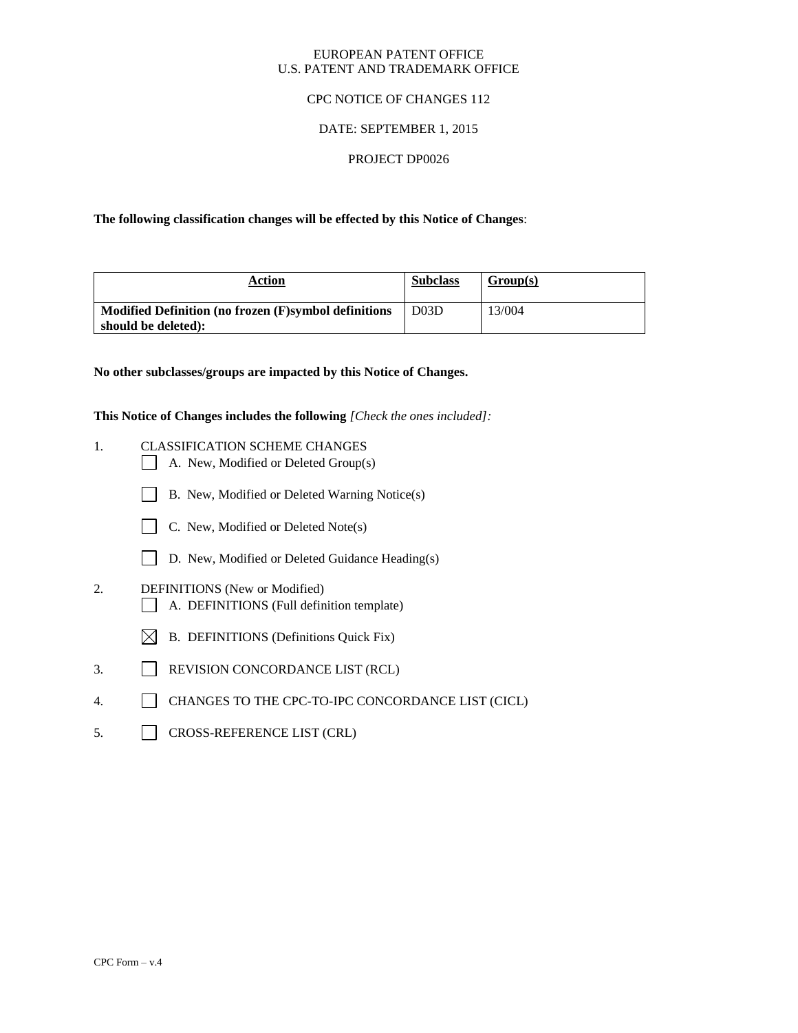#### EUROPEAN PATENT OFFICE U.S. PATENT AND TRADEMARK OFFICE

### CPC NOTICE OF CHANGES 112

# DATE: SEPTEMBER 1, 2015

### PROJECT DP0026

**The following classification changes will be effected by this Notice of Changes**:

| Action                                                                      | <b>Subclass</b> | Group(s) |
|-----------------------------------------------------------------------------|-----------------|----------|
| Modified Definition (no frozen (F)symbol definitions<br>should be deleted): | D03D            | 13/004   |

**No other subclasses/groups are impacted by this Notice of Changes.**

**This Notice of Changes includes the following** *[Check the ones included]:*

- 1. CLASSIFICATION SCHEME CHANGES
	- $\Box$  A. New, Modified or Deleted Group(s)
	- B. New, Modified or Deleted Warning Notice(s)
	- $\Box$  C. New, Modified or Deleted Note(s)
	- D. New, Modified or Deleted Guidance Heading(s)
- 2. DEFINITIONS (New or Modified) A. DEFINITIONS (Full definition template)
	- $\boxtimes$  B. DEFINITIONS (Definitions Quick Fix)
- 3. REVISION CONCORDANCE LIST (RCL)
- 4. CHANGES TO THE CPC-TO-IPC CONCORDANCE LIST (CICL)
- 5. CROSS-REFERENCE LIST (CRL)